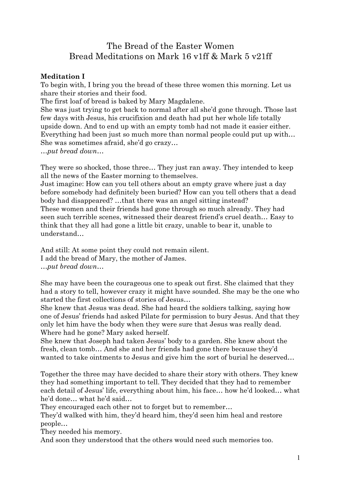## The Bread of the Easter Women Bread Meditations on Mark 16 v1ff & Mark 5 v21ff

## **Meditation I**

To begin with, I bring you the bread of these three women this morning. Let us share their stories and their food.

The first loaf of bread is baked by Mary Magdalene.

She was just trying to get back to normal after all she'd gone through. Those last few days with Jesus, his crucifixion and death had put her whole life totally upside down. And to end up with an empty tomb had not made it easier either. Everything had been just so much more than normal people could put up with… She was sometimes afraid, she'd go crazy…

*…put bread down…*

They were so shocked, those three… They just ran away. They intended to keep all the news of the Easter morning to themselves.

Just imagine: How can you tell others about an empty grave where just a day before somebody had definitely been buried? How can you tell others that a dead body had disappeared? …that there was an angel sitting instead?

These women and their friends had gone through so much already. They had seen such terrible scenes, witnessed their dearest friend's cruel death… Easy to think that they all had gone a little bit crazy, unable to bear it, unable to understand…

And still: At some point they could not remain silent. I add the bread of Mary, the mother of James. *…put bread down…*

She may have been the courageous one to speak out first. She claimed that they had a story to tell, however crazy it might have sounded. She may be the one who started the first collections of stories of Jesus…

She knew that Jesus was dead. She had heard the soldiers talking, saying how one of Jesus' friends had asked Pilate for permission to bury Jesus. And that they only let him have the body when they were sure that Jesus was really dead. Where had he gone? Mary asked herself.

She knew that Joseph had taken Jesus' body to a garden. She knew about the fresh, clean tomb… And she and her friends had gone there because they'd wanted to take ointments to Jesus and give him the sort of burial he deserved…

Together the three may have decided to share their story with others. They knew they had something important to tell. They decided that they had to remember each detail of Jesus' life, everything about him, his face… how he'd looked… what he'd done… what he'd said…

They encouraged each other not to forget but to remember…

They'd walked with him, they'd heard him, they'd seen him heal and restore people…

They needed his memory.

And soon they understood that the others would need such memories too.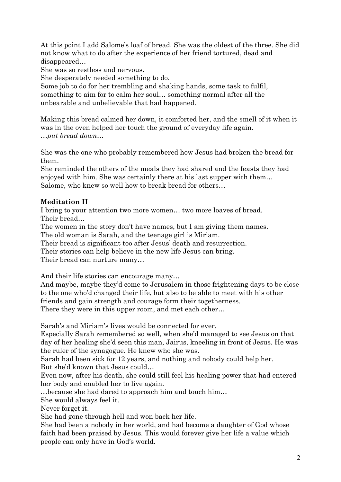At this point I add Salome's loaf of bread. She was the oldest of the three. She did not know what to do after the experience of her friend tortured, dead and disappeared…

She was so restless and nervous.

She desperately needed something to do.

Some job to do for her trembling and shaking hands, some task to fulfil, something to aim for to calm her soul… something normal after all the unbearable and unbelievable that had happened.

Making this bread calmed her down, it comforted her, and the smell of it when it was in the oven helped her touch the ground of everyday life again. *…put bread down…*

She was the one who probably remembered how Jesus had broken the bread for them.

She reminded the others of the meals they had shared and the feasts they had enjoyed with him. She was certainly there at his last supper with them… Salome, who knew so well how to break bread for others…

## **Meditation II**

I bring to your attention two more women… two more loaves of bread. Their bread…

The women in the story don't have names, but I am giving them names.

The old woman is Sarah, and the teenage girl is Miriam.

Their bread is significant too after Jesus' death and resurrection.

Their stories can help believe in the new life Jesus can bring.

Their bread can nurture many…

And their life stories can encourage many…

And maybe, maybe they'd come to Jerusalem in those frightening days to be close to the one who'd changed their life, but also to be able to meet with his other friends and gain strength and courage form their togetherness. There they were in this upper room, and met each other…

Sarah's and Miriam's lives would be connected for ever.

Especially Sarah remembered so well, when she'd managed to see Jesus on that day of her healing she'd seen this man, Jairus, kneeling in front of Jesus. He was the ruler of the synagogue. He knew who she was.

Sarah had been sick for 12 years, and nothing and nobody could help her. But she'd known that Jesus could…

Even now, after his death, she could still feel his healing power that had entered her body and enabled her to live again.

…because she had dared to approach him and touch him…

She would always feel it.

Never forget it.

She had gone through hell and won back her life.

She had been a nobody in her world, and had become a daughter of God whose faith had been praised by Jesus. This would forever give her life a value which people can only have in God's world.